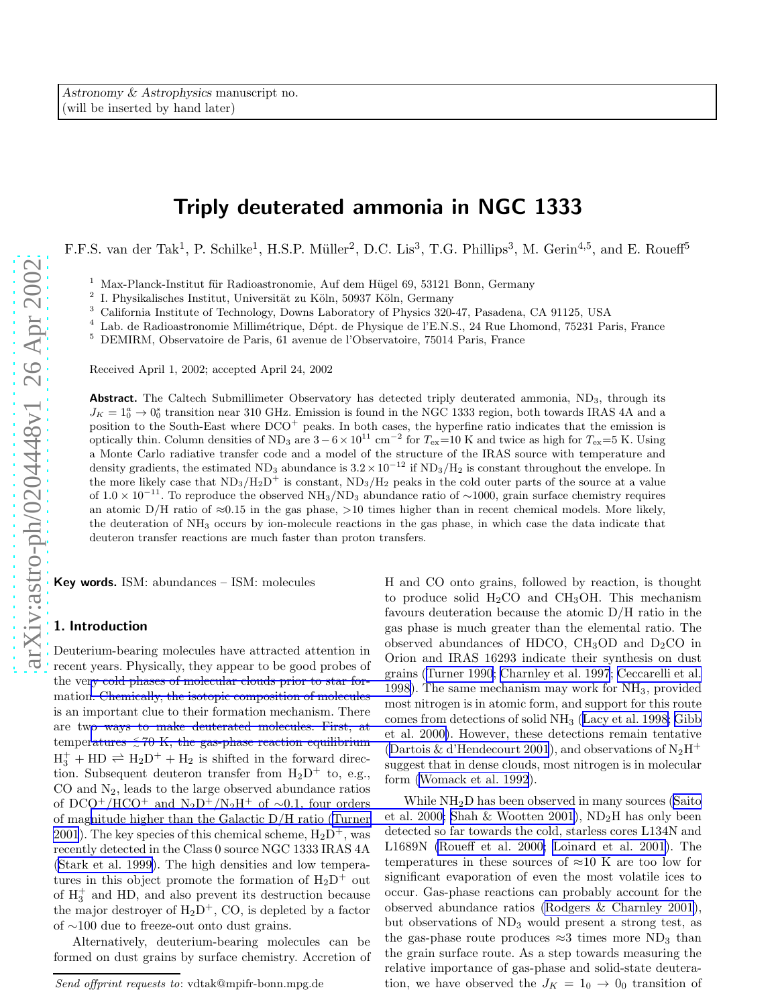# Triply deuterated ammonia in NGC 1333

F.F.S. van der Tak<sup>1</sup>, P. Schilke<sup>1</sup>, H.S.P. Müller<sup>2</sup>, D.C. Lis<sup>3</sup>, T.G. Phillips<sup>3</sup>, M. Gerin<sup>4,5</sup>, and E. Roueff<sup>5</sup>

<sup>1</sup> Max-Planck-Institut für Radioastronomie, Auf dem Hügel 69, 53121 Bonn, Germany <sup>2</sup> L. Physikalisches Institut, Universität av Käln, 50027 Käln, Germany

I. Physikalisches Institut, Universität zu Köln, 50937 Köln, Germany<br>California Institute of Technology, Downs Laboratory of Physics 320-47, Pasadena, CA 91125, USA

 $^3$  California Institute of Technology, Downs Laboratory of Physics 320-47, Pasadena, CA 91125, USA $^4\,$  Lab. de Radioastronomie Millimétrique, Dépt. de Physique de l'E.N.S., 24 Rue Lhomond, 75231 Paris, France $^5\,$ DEM

Received April 1, 2002; accepted April 24, 2002

Abstract. The Caltech Submillimeter Observatory has detected triply deuterated ammonia, ND<sub>3</sub>, through its  $J_K = 1_0^a \rightarrow 0_0^s$  transition near 310 GHz. Emission is found in the NGC 1333 region, both towards IRAS 4A and a position to the South-East where  $DCO<sup>+</sup>$  peaks. In both cases, the hyperfine ratio indicates that the emission is optically thin. Column densities of ND<sub>3</sub> are  $3-6\times10^{11}$  cm<sup>-2</sup> for  $T_{ex}=10$  K and twice as high for  $T_{ex}=5$  K. Using a Monte Carlo radiative transfer code and a model of the structure of the IRAS source with temperature and density gradients, the estimated ND<sub>3</sub> abundance is  $3.2 \times 10^{-12}$  if ND<sub>3</sub>/H<sub>2</sub> is constant throughout the envelope. In the more likely case that  $ND_3/H_2D^+$  is constant,  $ND_3/H_2$  peaks in the cold outer parts of the source at a value of  $1.0 \times 10^{-11}$ . To reproduce the observed NH<sub>3</sub>/ND<sub>3</sub> abundance ratio of ~1000, grain surface chemistry requires an atomic  $D/H$  ratio of  $\approx 0.15$  in the gas phase,  $>10$  times higher than in recent chemical models. More likely, the deuteration of NH <sup>3</sup> occurs by ion-molecule reactions in the gas phase, in which case the data indicate that deuteron transfer reactions are much faster than proton transfers.

Key words. ISM: abundances – ISM: molecules

# 1. Introduction

Deuterium-bearing molecules have attracted attention in recent years. Physically, they appear to be good probes of the ve[ry cold phases of molecular clouds prior to star for](#page-3-0)mation. Chemically, the isotopic composition of molecules is an important clue to their formation mechanism. There are tw[o ways to make deuterated molecules. First, at](#page-3-0) temperatures  $\leq 70$  K, the gas-phase reaction equilibrium  $H_3^+$  + HD  $\rightleftharpoons$   $H_2D^+$  +  $H_2$  is shifted in the forward direction. Subsequent deuteron transfer from  $H_2D^+$  to, e.g., CO and N <sup>2</sup>, leads to the large observed abundance ratios of DCO<sup>+</sup>/HCO<sup>+</sup> and N<sub>2</sub>D<sup>+</sup>/N<sub>2</sub>H<sup>+</sup> of ~0.1, four orders of mag[nitude higher than the Galactic D/H ratio \(Turner](#page-3-0) [2001](#page-3-0)). The key species of this chemical scheme,  $H_2D^+$ , was recently detected in the Class 0 source NGC 1333 IRAS 4A ([Stark et al. 1999\)](#page-3-0). The high densities and low temperatures in this object promote the formation of  $H_2D^+$  out of  $H_3^+$  and HD, and also prevent its destruction because the major destroyer of  $H_2D^+$ , CO, is depleted by a factor of ∼100 due to freeze-out onto dust grains.

Alternatively, deuterium-bearing molecules can be formed on dust grains by surface chemistry. Accretion of

H and CO onto grains, followed by reaction, is thought to produce solid  $H_2CO$  and  $CH_3OH$ . This mechanism favours deuteration because the atomic D/H ratio in the gas phase is much greater than the elemental ratio. The observed abundances of HDCO,  $CH<sub>3</sub>OD$  and  $D<sub>2</sub>CO$  in Orion and IRAS 16293 indicate their synthesis on dust grains([Turner 1990](#page-3-0); [Charnley et al. 1997](#page-3-0); [Ceccarelli et al.](#page-3-0) 1998). The same mechanism may work for NH <sup>3</sup>, provided most nitrogen is in atomic form, and support for this route comes from detections of solid NH <sup>3</sup> ([Lacy et al. 1998; Gibb](#page-3-0) et al. 2000). However, these detections remain tentative ([Dartois & d'Hendecourt 2001](#page-3-0)), and observations of  $N_2H^+$ suggest that in dense clouds, most nitrogen is in molecular form [\(Womack et al. 1992](#page-4-0)).

While NH <sup>2</sup>D has been observed in many sources [\(Saito](#page-3-0) et al. 2000; [Shah & Wootten 2001\)](#page-3-0), ND <sup>2</sup>H has only been detected so far towards the cold, starless cores L134N and L1689N [\(Roueff et al. 2000; Loinard et al. 2001\)](#page-3-0). The temperatures in these sources of  $\approx 10$  K are too low for significant evaporation of even the most volatile ices to occur. Gas-phase reactions can probably account for the observed abundance ratios [\(Rodgers & Charnley 2001\)](#page-3-0), but observations of ND <sup>3</sup> would present a strong test, as the gas-phase route produces  $\approx 3$  times more ND<sub>3</sub> than the grain surface route. As a step towards measuring the relative importance of gas-phase and solid-state deuteration, we have observed the  $J_K = 1_0 \rightarrow 0_0$  transition of

Send offprint requests to: vdtak@mpifr-bonn.mpg.de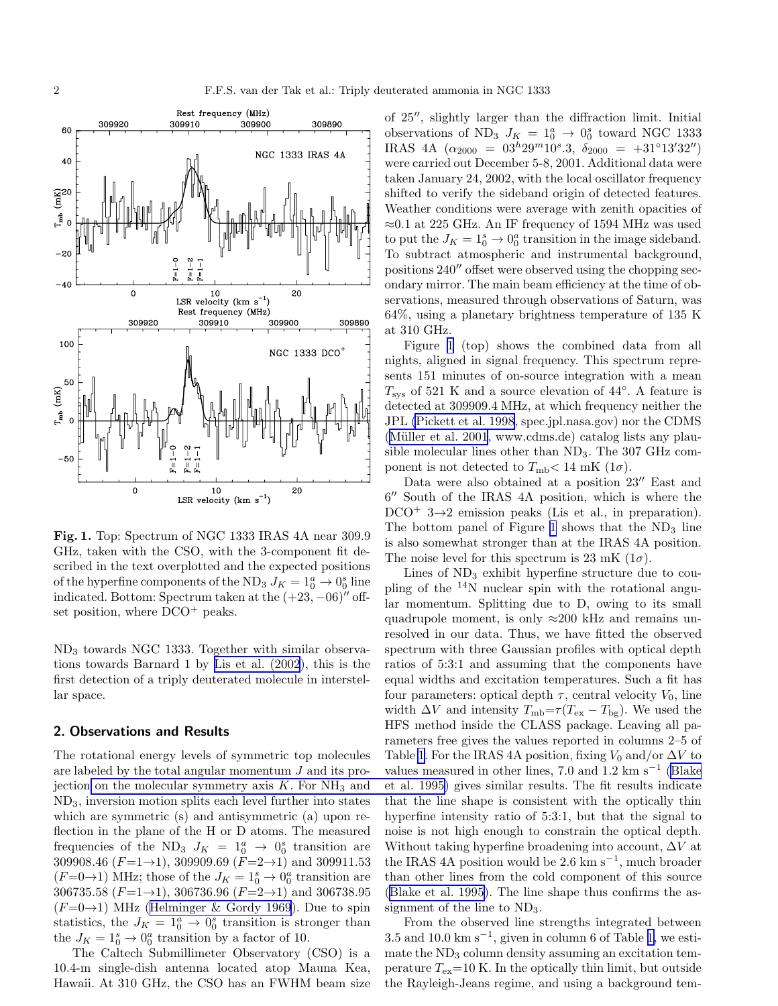

Fig. 1. Top: Spectrum of NGC 1333 IRAS 4A near 309.9 GHz, taken with the CSO, with the 3-component fit described in the text overplotted and the expected positions of the hyperfine components of the ND<sub>3</sub>  $J_K = 1_0^a \rightarrow 0_0^s$  line indicated. Bottom: Spectrum taken at the  $(+23, -06)$ <sup>"</sup> offset position, where  $DCO^+$  peaks.

ND<sup>3</sup> towards NGC 1333. Together with similar observations towards Barnard 1 by [Lis et al. \(2002](#page-3-0)), this is the first detection of a triply deuterated molecule in interstellar space.

# 2. Observations and Results

The rotational energy levels of symmetric top molecules are labeled by the total angular momentum J and its projection [on the molecular symmetry axis](#page-3-0)  $K$ . For  $NH<sub>3</sub>$  and ND3, inversion motion splits each level further into states which are symmetric (s) and antisymmetric (a) upon reflection in the plane of the H or D atoms. The measured frequencies of the ND<sub>3</sub>  $J_K = 1_0^a \rightarrow 0_0^s$  transition are 309908.46  $(F=1\rightarrow 1)$ , 309909.69  $(F=2\rightarrow 1)$  and 309911.53  $(F=0\rightarrow 1)$  MHz; those of the  $J_K = 1_0^s \rightarrow 0_0^a$  transition are 306735.58  $(F=1\rightarrow1)$ , 306736.96  $(F=2\rightarrow1)$  and 306738.95  $(F=0\rightarrow 1)$  $(F=0\rightarrow 1)$  $(F=0\rightarrow 1)$  MHz ([Helminger & Gordy 1969](#page-3-0)). Due to spin statistics, the  $J_K = 1_0^a \rightarrow 0_0^s$  transition is stronger than the  $J_K = 1_0^s \rightarrow 0_0^a$  transition by a factor of 10.

The Caltech Submillimeter Observatory (CSO) is a 10.4-m single-dish antenna located atop Mauna Kea, Hawaii. At 310 GHz, the CSO has an FWHM beam size

of 25′′, slightly larger than the diffraction limit. Initial observations of ND<sub>3</sub>  $J_K = 1_0^a \rightarrow 0_0^s$  toward NGC 1333 IRAS 4A  $(\alpha_{2000} = 03^h 29^m 10^s.3, \ \delta_{2000} = +31°13'32'')$ were carried out December 5-8, 2001. Additional data were taken January 24, 2002, with the local oscillator frequency shifted to verify the sideband origin of detected features. Weather conditions were average with zenith opacities of  $\approx 0.1$  at 225 GHz. An IF frequency of 1594 MHz was used to put the  $J_K = 1_0^s \rightarrow 0_0^a$  transition in the image sideband. To subtract atmospheric and instrumental background, positions 240′′ offset were observed using the chopping secondary mirror. The main beam efficiency at the time of observations, measured through observations of Saturn, was 64%, using a planetary brightness temperature of 135 K at 310 GHz.

Figure 1 (top) shows the combined data from all nights, aligned in signal frequency. This spectrum represents 151 minutes of on-source integration with a mean  $T_{\rm sys}$  of 521 K and a source elevation of 44°. A feature is detected at 309909.4 MHz, at which frequency neither the JPL [\(Pickett et al. 1998](#page-3-0), spec.jpl.nasa.gov) nor the CDMS (Müller et al.  $2001$ , www.cdms.de) catalog lists any plausible molecular lines other than  $ND_3$ . The 307 GHz component is not detected to  $T_{\text{mb}} < 14 \text{ mK } (1\sigma)$ .

Data were also obtained at a position 23′′ East and 6 ′′ South of the IRAS 4A position, which is where the  $DCO^+$  3→2 emission peaks (Lis et al., in preparation). The bottom panel of Figure 1 shows that the  $ND_3$  line is also somewhat stronger than at the IRAS 4A position. The noise level for this spectrum is 23 mK  $(1\sigma)$ .

Lines of  $ND_3$  exhibit hyperfine structure due to coupling of the <sup>14</sup>N nuclear spin with the rotational angular momentum. Splitting due to D, owing to its small quadrupole moment, is only  $\approx 200$  kHz and remains unresolved in our data. Thus, we have fitted the observed spectrum with three Gaussian profiles with optical depth ratios of 5:3:1 and assuming that the components have equal widths and excitation temperatures. Such a fit has four parameters: optical depth  $\tau$ , central velocity  $V_0$ , line width  $\Delta V$  and intensity  $T_{\rm mb}{=}\tau(T_{\rm ex}-T_{\rm bg}).$  We used the HFS method inside the CLASS package. Leaving all parameters free gives the values reported in columns 2–5 of Table [1](#page-2-0). For the IRAS 4A position, fixing  $V_0$  and/or  $\Delta V$  to values measured in other lines, 7.0 and  $1.2 \text{ km s}^{-1}$  [\(Blake](#page-3-0) et al. 1995) gives similar results. The fit results indicate that the line shape is consistent with the optically thin hyperfine intensity ratio of 5:3:1, but that the signal to noise is not high enough to constrain the optical depth. Without taking hyperfine broadening into account,  $\Delta V$  at the IRAS 4A position would be 2.6 km s<sup>-1</sup>, much broader than other lines from the cold component of this source ([Blake et al. 1995](#page-3-0)). The line shape thus confirms the assignment of the line to ND3.

From the observed line strengths integrated between 3.5 and 10.0 km s<sup>-1</sup>, given in column 6 of Table [1,](#page-2-0) we estimate the  $ND_3$  column density assuming an excitation temperature  $T_{ex}=10$  K. In the optically thin limit, but outside the Rayleigh-Jeans regime, and using a background tem-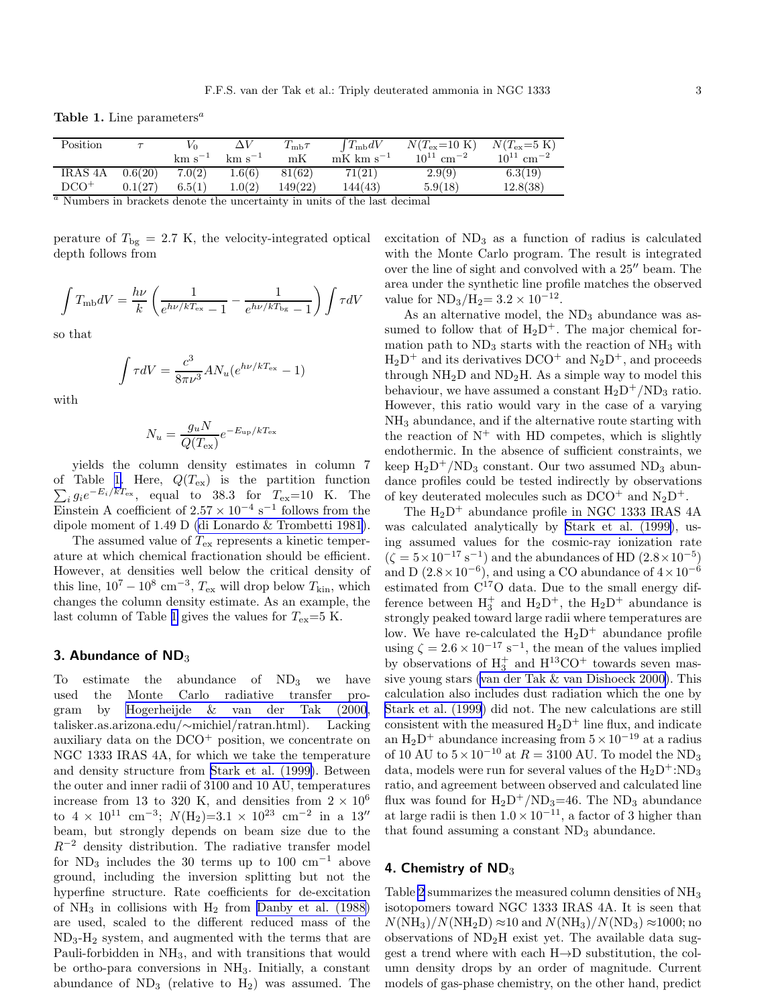<span id="page-2-0"></span>Table 1. Line parameters<sup> $a$ </sup>

| Position       |         | V٥          |             | $T_\mathrm{mb}\tau$ | $T_{\rm mb} dV$         | $N(T_{\rm ex}=10~{\rm K})$ | $N(T_{\rm ex}=5~{\rm K})$  |
|----------------|---------|-------------|-------------|---------------------|-------------------------|----------------------------|----------------------------|
|                |         | $km s^{-1}$ | $km s^{-1}$ | mK                  | $mK$ km s <sup>-1</sup> | $10^{11}$ cm <sup>-2</sup> | $10^{11}$ cm <sup>-2</sup> |
| <b>IRAS 4A</b> | 0.6(20) | 7.0(2)      | 1.6(6)      | 81(62)              | 71(21)                  | 2.9(9)                     | 6.3(19)                    |
| $DCO+$         | 0.1(27) | 6.5(1)      | 1.0(2)      | 149(22)             | 144(43)                 | 5.9(18)                    | 12.8(38)                   |

 $a$  Numbers in brackets denote the uncertainty in units of the last decimal

perature of  $T_{\text{bg}} = 2.7$  K, the velocity-integrated optical depth follows from

$$
\int T_{\rm mb} dV = \frac{h\nu}{k} \left( \frac{1}{e^{h\nu/kT_{\rm ex}}-1} - \frac{1}{e^{h\nu/kT_{\rm bg}}-1} \right) \int \tau dV
$$

so that

$$
\int \tau dV = \frac{c^3}{8\pi\nu^3} A N_u (e^{h\nu/kT_{\text{ex}}} - 1)
$$

with

$$
N_u = \frac{g_u N}{Q(T_{\text{ex}})} e^{-E_{\text{up}}/kT_{\text{ex}}}
$$

yields the column density estimates in column 7 of Table 1. Here,  $Q(T_{\rm ex})$  is the partition function  $\sum_{i} g_i e^{-E_i/kT_{\rm ex}},$  equal to 38.3 for  $T_{\rm ex}=10$  K. The Einstein A coefficient of  $2.57 \times 10^{-4}$  s<sup>-1</sup> follows from the dipole moment of 1.49 D [\(di Lonardo & Trombetti 1981](#page-3-0)).

The assumed value of  $T_{\text{ex}}$  represents a kinetic temperature at which chemical fractionation should be efficient. However, at densities well below the critical density of this line,  $10^7 - 10^8$  cm<sup>-3</sup>,  $T_{\text{ex}}$  will drop below  $T_{\text{kin}}$ , which changes the column density estimate. As an example, the last column of Table 1 gives the values for  $T_{ex}=5$  K.

#### 3. Abundance of  $ND_3$

To estimate the abundance of  $ND_3$  we have used the Monte Carlo radiative transfer program by [Hogerheijde & van der Tak \(2000,](#page-3-0) talisker.as.arizona.edu/∼michiel/ratran.html). Lacking auxiliary data on the  $DCO<sup>+</sup>$  position, we concentrate on NGC 1333 IRAS 4A, for which we take the temperature and density structure from [Stark et al. \(1999\)](#page-3-0). Between the outer and inner radii of 3100 and 10 AU, temperatures increase from 13 to 320 K, and densities from  $2 \times 10^6$ to  $4 \times 10^{11}$  cm<sup>-3</sup>;  $N(H_2)=3.1 \times 10^{23}$  cm<sup>-2</sup> in a 13" beam, but strongly depends on beam size due to the  $R^{-2}$  density distribution. The radiative transfer model for ND<sub>3</sub> includes the 30 terms up to 100 cm<sup>-1</sup> above ground, including the inversion splitting but not the hyperfine structure. Rate coefficients for de-excitation of  $NH_3$  in collisions with  $H_2$  from [Danby et al. \(1988\)](#page-3-0) are used, scaled to the different reduced mass of the  $ND_3-H_2$  system, and augmented with the terms that are Pauli-forbidden in NH3, and with transitions that would be ortho-para conversions in  $NH<sub>3</sub>$ . Initially, a constant abundance of  $ND_3$  (relative to  $H_2$ ) was assumed. The excitation of  $ND_3$  as a function of radius is calculated with the Monte Carlo program. The result is integrated over the line of sight and convolved with a 25′′ beam. The area under the synthetic line profile matches the observed value for  $ND_3/H_2 = 3.2 \times 10^{-12}$ .

As an alternative model, the  $ND_3$  abundance was assumed to follow that of  $H_2D^+$ . The major chemical formation path to  $ND_3$  starts with the reaction of  $NH_3$  with  $H_2D^+$  and its derivatives DCO<sup>+</sup> and N<sub>2</sub>D<sup>+</sup>, and proceeds through  $NH<sub>2</sub>D$  and  $ND<sub>2</sub>H$ . As a simple way to model this behaviour, we have assumed a constant  $H_2D^+/ND_3$  ratio. However, this ratio would vary in the case of a varying NH<sup>3</sup> abundance, and if the alternative route starting with the reaction of  $N^+$  with HD competes, which is slightly endothermic. In the absence of sufficient constraints, we keep  $H_2D^+/ND_3$  constant. Our two assumed ND<sub>3</sub> abundance profiles could be tested indirectly by observations of key deuterated molecules such as  $DCO^+$  and  $N_2D^+$ .

The  $H_2D^+$  abundance profile in NGC 1333 IRAS 4A was calculated analytically by [Stark et al. \(1999\)](#page-3-0), using assumed values for the cosmic-ray ionization rate  $(\zeta = 5 \times 10^{-17} \text{ s}^{-1})$  and the abundances of HD  $(2.8 \times 10^{-5})$ and D  $(2.8 \times 10^{-6})$ , and using a CO abundance of  $4 \times 10^{-6}$ estimated from  $C^{17}O$  data. Due to the small energy difference between  $H_3^+$  and  $H_2D^+$ , the  $H_2D^+$  abundance is strongly peaked toward large radii where temperatures are low. We have re-calculated the  $H_2D^+$  abundance profile using  $\zeta = 2.6 \times 10^{-17} \text{ s}^{-1}$ , the mean of the values implied by observations of  $H_3^+$  and  $H^{13}CO^+$  towards seven massive young stars [\(van der Tak & van Dishoeck 2000\)](#page-3-0). This calculation also includes dust radiation which the one by [Stark et al. \(1999](#page-3-0)) did not. The new calculations are still consistent with the measured  $H_2D^+$  line flux, and indicate an  $\rm H_2D^+$  abundance increasing from  $5\times 10^{-19}$  at a radius of 10 AU to  $5 \times 10^{-10}$  at  $R = 3100$  AU. To model the ND<sub>3</sub> data, models were run for several values of the  $H_2D^{\dagger}:\text{ND}_3$ ratio, and agreement between observed and calculated line flux was found for  $H_2D^+/ND_3=46$ . The ND<sub>3</sub> abundance at large radii is then  $1.0 \times 10^{-11}$ , a factor of 3 higher than that found assuming a constant  $ND<sub>3</sub>$  abundance.

## 4. Chemistry of  $ND<sub>3</sub>$

Table [2](#page-3-0) summarizes the measured column densities of NH<sup>3</sup> isotopomers toward NGC 1333 IRAS 4A. It is seen that  $N(NH_3)/N(NH_2D) \approx 10$  and  $N(NH_3)/N(ND_3) \approx 1000$ ; no observations of  $ND<sub>2</sub>H$  exist yet. The available data suggest a trend where with each  $H\rightarrow D$  substitution, the column density drops by an order of magnitude. Current models of gas-phase chemistry, on the other hand, predict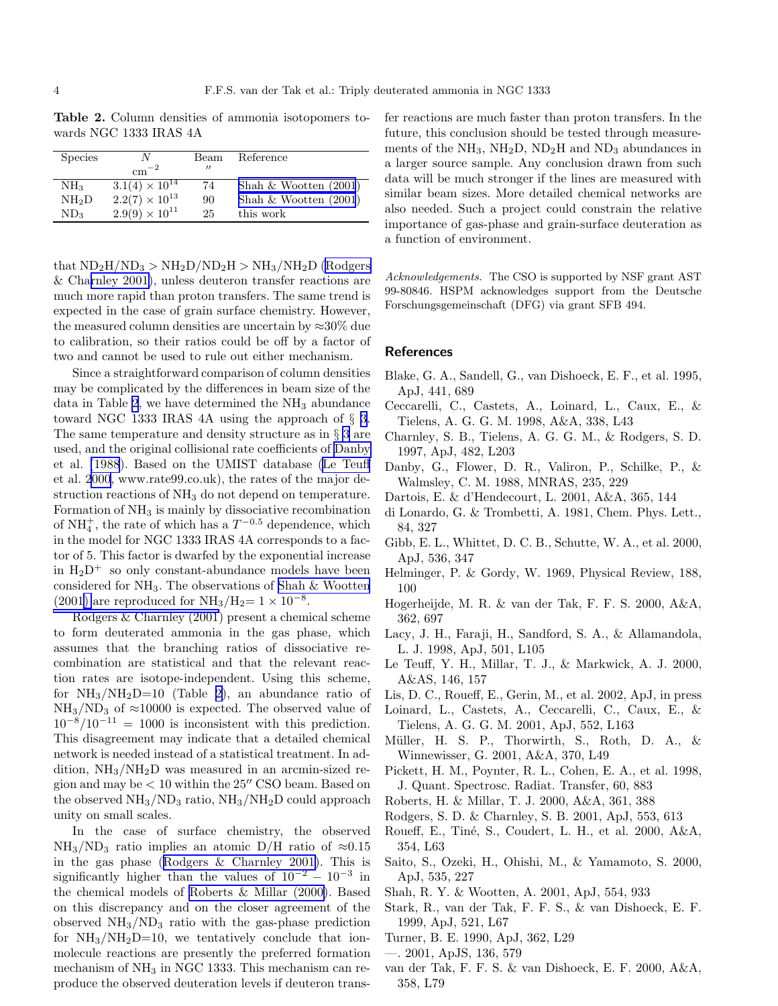<span id="page-3-0"></span>Table 2. Column densities of ammonia isotopomers towards NGC 1333 IRAS 4A

| <b>Species</b>    | $\rm cm^{-2}$           | Beam<br>$^{\prime\prime}$ | Reference               |
|-------------------|-------------------------|---------------------------|-------------------------|
| NH <sub>3</sub>   | $3.1(4) \times 10^{14}$ | 74                        | Shah $& Wootten (2001)$ |
| NH <sub>2</sub> D | $2.2(7) \times 10^{13}$ | 90                        | Shah $& Wootten (2001)$ |
| ND <sub>3</sub>   | $2.9(9) \times 10^{11}$ | 25                        | this work               |

that  $ND_2H/ND_3 > NH_2D/ND_2H > NH_3/NH_2D$  (Rodgers & Charnley 2001), unless deuteron transfer reactions are much more rapid than proton transfers. The same trend is expected in the case of grain surface chemistry. However, the measured column densities are uncertain by  $\approx 30\%$  due to calibration, so their ratios could be off by a factor of two and cannot be used to rule out either mechanism.

Since a straightforward comparison of column densities may be complicated by the differences in beam size of the data in Table 2, we have determined the  $NH<sub>3</sub>$  abundance toward NGC 1333 IRAS 4A using the approach of § [3.](#page-2-0) The same temperature and density structure as in § [3](#page-2-0) are used, and the original collisional rate coefficients of Danby et al. (1988). Based on the UMIST database (Le Teuff et al. 2000, www.rate99.co.uk), the rates of the major destruction reactions of NH<sub>3</sub> do not depend on temperature. Formation of  $NH<sub>3</sub>$  is mainly by dissociative recombination of  $NH_4^+$ , the rate of which has a  $T^{-0.5}$  dependence, which in the model for NGC 1333 IRAS 4A corresponds to a factor of 5. This factor is dwarfed by the exponential increase in  $H_2D^+$  so only constant-abundance models have been considered for  $NH<sub>3</sub>$ . The observations of Shah & Wootten (2001) are reproduced for  $NH_3/H_2=1\times 10^{-8}$ .

Rodgers & Charnley (2001) present a chemical scheme to form deuterated ammonia in the gas phase, which assumes that the branching ratios of dissociative recombination are statistical and that the relevant reaction rates are isotope-independent. Using this scheme, for  $NH_3/NH_2D=10$  (Table 2), an abundance ratio of  $NH<sub>3</sub>/ND<sub>3</sub>$  of  $\approx$ 10000 is expected. The observed value of  $10^{-8}/10^{-11} = 1000$  is inconsistent with this prediction. This disagreement may indicate that a detailed chemical network is needed instead of a statistical treatment. In addition,  $NH<sub>3</sub>/NH<sub>2</sub>D$  was measured in an arcmin-sized region and may be  $< 10$  within the  $25''$  CSO beam. Based on the observed  $NH_3/ND_3$  ratio,  $NH_3/NH_2D$  could approach unity on small scales.

In the case of surface chemistry, the observed  $NH<sub>3</sub>/ND<sub>3</sub>$  ratio implies an atomic D/H ratio of  $\approx 0.15$ in the gas phase (Rodgers & Charnley 2001). This is significantly higher than the values of  $10^{-2} - 10^{-3}$  in the chemical models of Roberts & Millar (2000). Based on this discrepancy and on the closer agreement of the observed  $NH<sub>3</sub>/ND<sub>3</sub>$  ratio with the gas-phase prediction for  $NH_3/NH_2D=10$ , we tentatively conclude that ionmolecule reactions are presently the preferred formation mechanism of  $NH_3$  in NGC 1333. This mechanism can reproduce the observed deuteration levels if deuteron trans-

fer reactions are much faster than proton transfers. In the future, this conclusion should be tested through measurements of the  $NH_3$ ,  $NH_2D$ ,  $ND_2H$  and  $ND_3$  abundances in a larger source sample. Any conclusion drawn from such data will be much stronger if the lines are measured with similar beam sizes. More detailed chemical networks are also needed. Such a project could constrain the relative importance of gas-phase and grain-surface deuteration as a function of environment.

Acknowledgements. The CSO is supported by NSF grant AST 99-80846. HSPM acknowledges support from the Deutsche Forschungsgemeinschaft (DFG) via grant SFB 494.

## **References**

- Blake, G. A., Sandell, G., van Dishoeck, E. F., et al. 1995, ApJ, 441, 689
- Ceccarelli, C., Castets, A., Loinard, L., Caux, E., & Tielens, A. G. G. M. 1998, A&A, 338, L43
- Charnley, S. B., Tielens, A. G. G. M., & Rodgers, S. D. 1997, ApJ, 482, L203
- Danby, G., Flower, D. R., Valiron, P., Schilke, P., & Walmsley, C. M. 1988, MNRAS, 235, 229
- Dartois, E. & d'Hendecourt, L. 2001, A&A, 365, 144
- di Lonardo, G. & Trombetti, A. 1981, Chem. Phys. Lett., 84, 327
- Gibb, E. L., Whittet, D. C. B., Schutte, W. A., et al. 2000, ApJ, 536, 347
- Helminger, P. & Gordy, W. 1969, Physical Review, 188, 100
- Hogerheijde, M. R. & van der Tak, F. F. S. 2000, A&A, 362, 697
- Lacy, J. H., Faraji, H., Sandford, S. A., & Allamandola, L. J. 1998, ApJ, 501, L105
- Le Teuff, Y. H., Millar, T. J., & Markwick, A. J. 2000, A&AS, 146, 157
- Lis, D. C., Roueff, E., Gerin, M., et al. 2002, ApJ, in press
- Loinard, L., Castets, A., Ceccarelli, C., Caux, E., & Tielens, A. G. G. M. 2001, ApJ, 552, L163
- Müller, H. S. P., Thorwirth, S., Roth, D. A., & Winnewisser, G. 2001, A&A, 370, L49
- Pickett, H. M., Poynter, R. L., Cohen, E. A., et al. 1998, J. Quant. Spectrosc. Radiat. Transfer, 60, 883
- Roberts, H. & Millar, T. J. 2000, A&A, 361, 388
- Rodgers, S. D. & Charnley, S. B. 2001, ApJ, 553, 613
- Roueff, E., Tiné, S., Coudert, L. H., et al. 2000, A&A, 354, L63
- Saito, S., Ozeki, H., Ohishi, M., & Yamamoto, S. 2000, ApJ, 535, 227
- Shah, R. Y. & Wootten, A. 2001, ApJ, 554, 933
- Stark, R., van der Tak, F. F. S., & van Dishoeck, E. F. 1999, ApJ, 521, L67
- Turner, B. E. 1990, ApJ, 362, L29
- —. 2001, ApJS, 136, 579
- van der Tak, F. F. S. & van Dishoeck, E. F. 2000, A&A, 358, L79